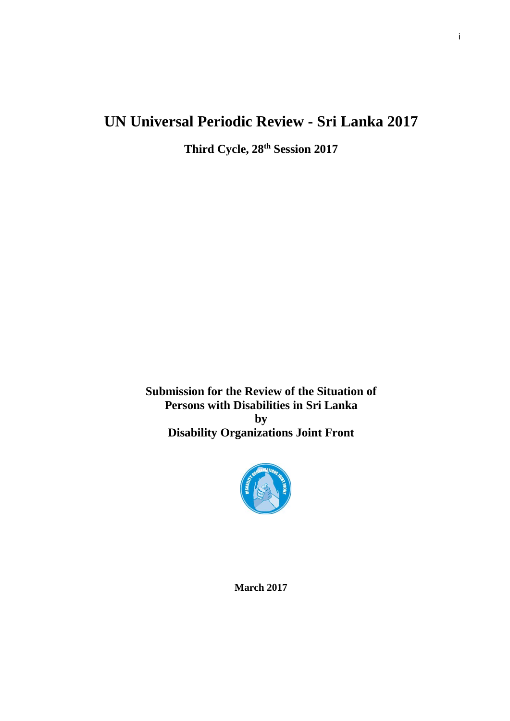# **UN Universal Periodic Review - Sri Lanka 2017**

**Third Cycle, 28th Session 2017**

**Submission for the Review of the Situation of Persons with Disabilities in Sri Lanka by Disability Organizations Joint Front**



**March 2017**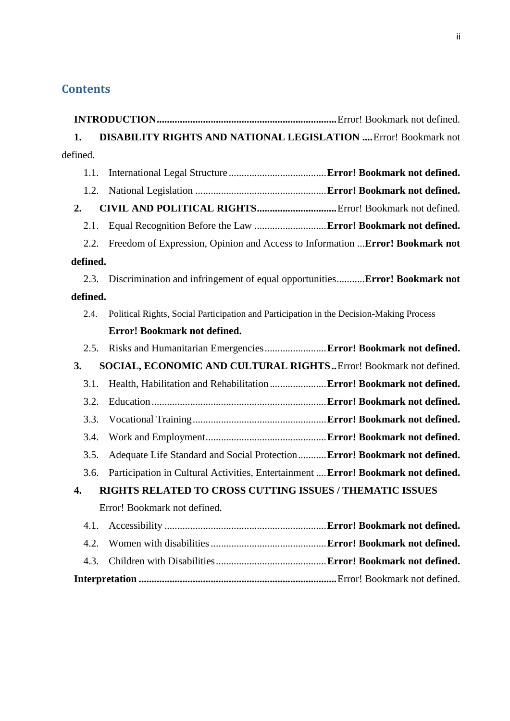## **Contents**

| <b>DISABILITY RIGHTS AND NATIONAL LEGISLATION  Error! Bookmark not</b><br>1. |                                                                                         |  |  |
|------------------------------------------------------------------------------|-----------------------------------------------------------------------------------------|--|--|
| defined.                                                                     |                                                                                         |  |  |
| 1.1.                                                                         |                                                                                         |  |  |
| 1.2.                                                                         |                                                                                         |  |  |
| 2.                                                                           |                                                                                         |  |  |
| 2.1.                                                                         |                                                                                         |  |  |
| 2.2.                                                                         | Freedom of Expression, Opinion and Access to Information  Error! Bookmark not           |  |  |
| defined.                                                                     |                                                                                         |  |  |
| 2.3.                                                                         | Discrimination and infringement of equal opportunitiesError! Bookmark not               |  |  |
| defined.                                                                     |                                                                                         |  |  |
| 2.4.                                                                         | Political Rights, Social Participation and Participation in the Decision-Making Process |  |  |
|                                                                              | Error! Bookmark not defined.                                                            |  |  |
| 2.5.                                                                         |                                                                                         |  |  |
| 3.<br>SOCIAL, ECONOMIC AND CULTURAL RIGHTS Error! Bookmark not defined.      |                                                                                         |  |  |
| 3.1.                                                                         | Health, Habilitation and Rehabilitation  Error! Bookmark not defined.                   |  |  |
| 3.2.                                                                         |                                                                                         |  |  |
| 3.3.                                                                         |                                                                                         |  |  |
| 3.4.                                                                         |                                                                                         |  |  |
| 3.5.                                                                         | Adequate Life Standard and Social Protection Error! Bookmark not defined.               |  |  |
| 3.6.                                                                         | Participation in Cultural Activities, Entertainment  Error! Bookmark not defined.       |  |  |
| RIGHTS RELATED TO CROSS CUTTING ISSUES / THEMATIC ISSUES<br>4.               |                                                                                         |  |  |
|                                                                              | Error! Bookmark not defined.                                                            |  |  |
| 4.1.                                                                         |                                                                                         |  |  |
| 4.2.                                                                         |                                                                                         |  |  |
| 4.3.                                                                         |                                                                                         |  |  |
|                                                                              |                                                                                         |  |  |